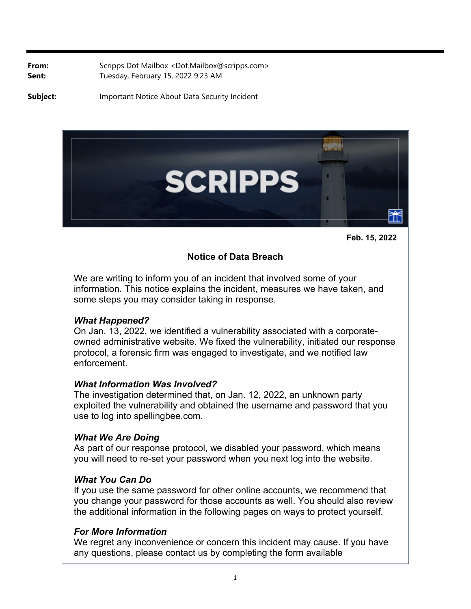**From:** Scripps Dot Mailbox <Dot.Mailbox@scripps.com> Sent: Tuesday, February 15, 2022 9:23 AM

**Subject:** Important Notice About Data Security Incident





# **Notice of Data Breach**

We are writing to inform you of an incident that involved some of your information. This notice explains the incident, measures we have taken, and some steps you may consider taking in response.

#### *What Happened?*

On Jan. 13, 2022, we identified a vulnerability associated with a corporateowned administrative website. We fixed the vulnerability, initiated our response protocol, a forensic firm was engaged to investigate, and we notified law enforcement.

## *What Information Was Involved?*

The investigation determined that, on Jan. 12, 2022, an unknown party exploited the vulnerability and obtained the username and password that you use to log into spellingbee.com.

## *What We Are Doing*

As part of our response protocol, we disabled your password, which means you will need to re-set your password when you next log into the website.

## *What You Can Do*

If you use the same password for other online accounts, we recommend that you change your password for those accounts as well. You should also review the additional information in the following pages on ways to protect yourself.

## *For More Information*

We regret any inconvenience or concern this incident may cause. If you have any questions, please contact us by completing the form available